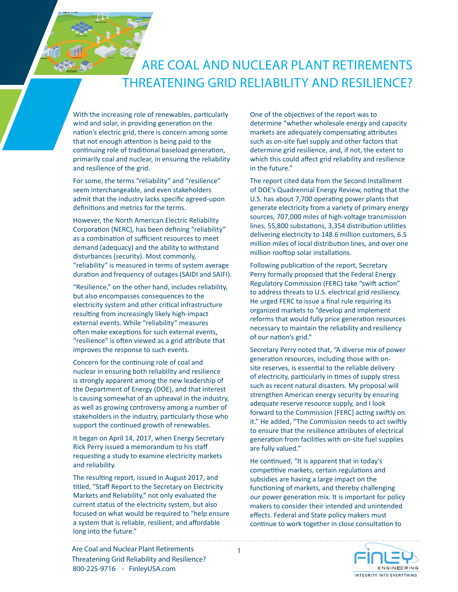## ARE COAL AND NUCLEAR PLANT RETIREMENTS THREATENING GRID RELIABILITY AND RESILIENCE?

With the increasing role of renewables, particularly wind and solar, in providing generation on the nation's electric grid, there is concern among some that not enough attention is being paid to the continuing role of traditional baseload generation, primarily coal and nuclear, in ensuring the reliability and resilience of the grid.

For some, the terms "reliability" and "resilience" seem interchangeable, and even stakeholders admit that the industry lacks specific agreed-upon definitions and metrics for the terms.

However, the North American Electric Reliability Corporation (NERC), has been defining "reliability" as a combination of sufficient resources to meet demand (adequacy) and the ability to withstand disturbances (security). Most commonly, "reliability" is measured in terms of system average duration and frequency of outages (SAIDI and SAIFI).

"Resilience," on the other hand, includes reliability, but also encompasses consequences to the electricity system and other critical infrastructure resulting from increasingly likely high-impact external events. While "reliability" measures often make exceptions for such external events, "resilience" is often viewed as a grid attribute that improves the response to such events.

Concern for the continuing role of coal and nuclear in ensuring both reliability and resilience is strongly apparent among the new leadership of the Department of Energy (DOE), and that interest is causing somewhat of an upheaval in the industry, as well as growing controversy among a number of stakeholders in the industry, particularly those who support the continued growth of renewables.

It began on April 14, 2017, when Energy Secretary Rick Perry issued a memorandum to his staff requesting a study to examine electricity markets and reliability.

The resulting report, issued in August 2017, and titled, "Staff Report to the Secretary on Electricity Markets and Reliability," not only evaluated the current status of the electricity system, but also focused on what would be required to "help ensure a system that is reliable, resilient, and affordable long into the future."

1

One of the objectives of the report was to determine "whether wholesale energy and capacity markets are adequately compensating attributes such as on-site fuel supply and other factors that determine grid resilience, and, if not, the extent to which this could affect grid reliability and resilience in the future."

The report cited data from the Second Installment of DOE's Quadrennial Energy Review, noting that the U.S. has about 7,700 operating power plants that generate electricity from a variety of primary energy sources, 707,000 miles of high-voltage transmission lines, 55,800 substations, 3,354 distribution utilities delivering electricity to 148.6 million customers, 6.5 million miles of local distribution lines, and over one million rooftop solar installations.

Following publication of the report, Secretary Perry formally proposed that the Federal Energy Regulatory Commission (FERC) take "swift action" to address threats to U.S. electrical grid resiliency. He urged FERC to issue a final rule requiring its organized markets to "develop and implement reforms that would fully price generation resources necessary to maintain the reliability and resiliency of our nation's grid."

Secretary Perry noted that, "A diverse mix of power generation resources, including those with onsite reserves, is essential to the reliable delivery of electricity, particularly in times of supply stress such as recent natural disasters. My proposal will strengthen American energy security by ensuring adequate reserve resource supply, and I look forward to the Commission [FERC] acting swiftly on it." He added, "The Commission needs to act swiftly to ensure that the resilience attributes of electrical generation from facilities with on-site fuel supplies are fully valued."

He continued, "It is apparent that in today's competitive markets, certain regulations and subsidies are having a large impact on the functioning of markets, and thereby challenging our power generation mix. It is important for policy makers to consider their intended and unintended effects. Federal and State policy makers must continue to work together in close consultation to

> **ENGINEERING** INTEGRITY INTO EVERYTHING

800-225-9716 - FinleyUSA.com Are Coal and Nuclear Plant Retirements Threatening Grid Reliability and Resilience?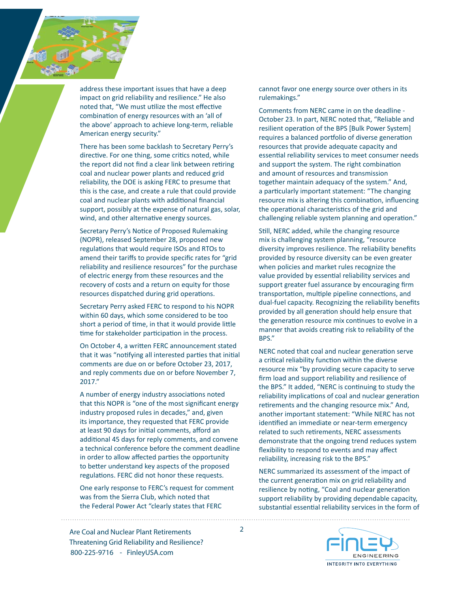address these important issues that have a deep impact on grid reliability and resilience." He also noted that, "We must utilize the most effective combination of energy resources with an 'all of the above' approach to achieve long-term, reliable American energy security."

There has been some backlash to Secretary Perry's directive. For one thing, some critics noted, while the report did not find a clear link between retiring coal and nuclear power plants and reduced grid reliability, the DOE is asking FERC to presume that this is the case, and create a rule that could provide coal and nuclear plants with additional financial support, possibly at the expense of natural gas, solar, wind, and other alternative energy sources.

Secretary Perry's Notice of Proposed Rulemaking (NOPR), released September 28, proposed new regulations that would require ISOs and RTOs to amend their tariffs to provide specific rates for "grid reliability and resilience resources" for the purchase of electric energy from these resources and the recovery of costs and a return on equity for those resources dispatched during grid operations.

Secretary Perry asked FERC to respond to his NOPR within 60 days, which some considered to be too short a period of time, in that it would provide little time for stakeholder participation in the process.

On October 4, a written FERC announcement stated that it was "notifying all interested parties that initial comments are due on or before October 23, 2017, and reply comments due on or before November 7, 2017."

A number of energy industry associations noted that this NOPR is "one of the most significant energy industry proposed rules in decades," and, given its importance, they requested that FERC provide at least 90 days for initial comments, afford an additional 45 days for reply comments, and convene a technical conference before the comment deadline in order to allow affected parties the opportunity to better understand key aspects of the proposed regulations. FERC did not honor these requests.

One early response to FERC's request for comment was from the Sierra Club, which noted that the Federal Power Act "clearly states that FERC

2

cannot favor one energy source over others in its rulemakings."

Comments from NERC came in on the deadline - October 23. In part, NERC noted that, "Reliable and resilient operation of the BPS [Bulk Power System] requires a balanced portfolio of diverse generation resources that provide adequate capacity and essential reliability services to meet consumer needs and support the system. The right combination and amount of resources and transmission together maintain adequacy of the system." And, a particularly important statement: "The changing resource mix is altering this combination, influencing the operational characteristics of the grid and challenging reliable system planning and operation."

Still, NERC added, while the changing resource mix is challenging system planning, "resource diversity improves resilience. The reliability benefits provided by resource diversity can be even greater when policies and market rules recognize the value provided by essential reliability services and support greater fuel assurance by encouraging firm transportation, multiple pipeline connections, and dual-fuel capacity. Recognizing the reliability benefits provided by all generation should help ensure that the generation resource mix continues to evolve in a manner that avoids creating risk to reliability of the BPS."

NERC noted that coal and nuclear generation serve a critical reliability function within the diverse resource mix "by providing secure capacity to serve firm load and support reliability and resilience of the BPS." It added, "NERC is continuing to study the reliability implications of coal and nuclear generation retirements and the changing resource mix." And, another important statement: "While NERC has not identified an immediate or near-term emergency related to such retirements, NERC assessments demonstrate that the ongoing trend reduces system flexibility to respond to events and may affect reliability, increasing risk to the BPS."

NERC summarized its assessment of the impact of the current generation mix on grid reliability and resilience by noting, "Coal and nuclear generation support reliability by providing dependable capacity, substantial essential reliability services in the form of

800-225-9716 - FinleyUSA.com Are Coal and Nuclear Plant Retirements Threatening Grid Reliability and Resilience?